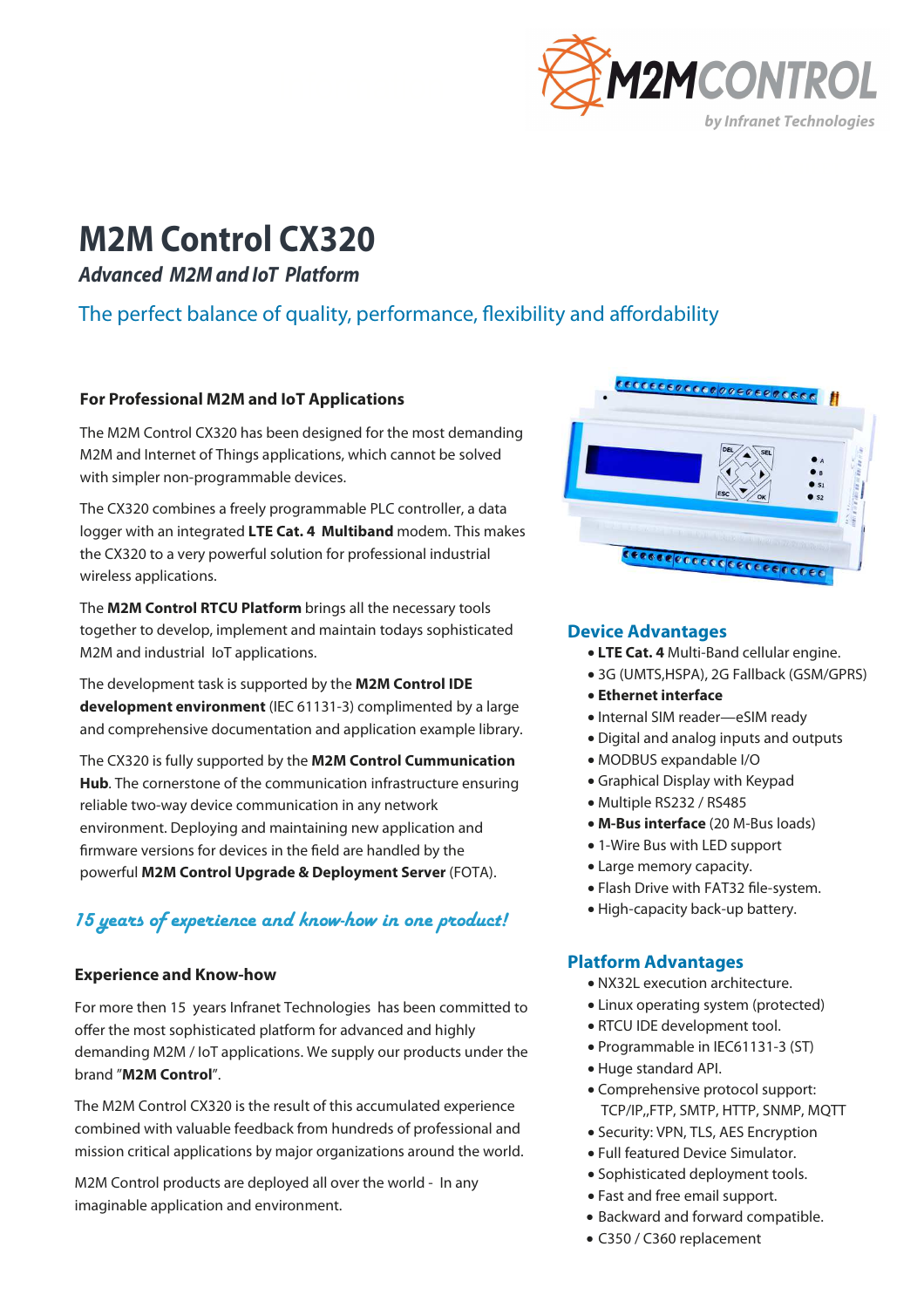

# **M2M Control CX320**

**Advanced M2M and IoT Platform** 

# The perfect balance of quality, performance, flexibility and affordability

# **For Professional M2M and IoT Applications**

The M2M Control CX320 has been designed for the most demanding M2M and Internet of Things applications, which cannot be solved with simpler non-programmable devices.

The CX320 combines a freely programmable PLC controller, a data logger with an integrated **LTE Cat. 4 Multiband** modem. This makes the CX320 to a very powerful solution for professional industrial wireless applications.

The **M2M Control RTCU Platform** brings all the necessary tools together to develop, implement and maintain todays sophisticated M2M and industrial IoT applications.

The development task is supported by the **M2M Control IDE development environment** (IEC 61131-3) complimented by a large and comprehensive documentation and application example library.

The CX320 is fully supported by the **M2M Control Cummunication Hub**. The cornerstone of the communication infrastructure ensuring reliable two-way device communication in any network environment. Deploying and maintaining new application and firmware versions for devices in the field are handled by the powerful **M2M Control Upgrade & Deployment Server** (FOTA).

# 15 years of experience and know-how in one product!

## **Experience and Know-how**

For more then 15 years Infranet Technologies has been committed to offer the most sophisticated platform for advanced and highly demanding M2M / IoT applications. We supply our products under the brand "**M2M Control**".

The M2M Control CX320 is the result of this accumulated experience combined with valuable feedback from hundreds of professional and mission critical applications by major organizations around the world.

M2M Control products are deployed all over the world - In any imaginable application and environment.



### **Device Advantages**

- • **LTE Cat. 4** Multi-Band cellular engine.
- 3G (UMTS,HSPA), 2G Fallback (GSM/GPRS)
- **Ethernet interface**
- Internal SIM reader—eSIM ready
- Digital and analog inputs and outputs
- MODBUS expandable I/O
- Graphical Display with Keypad
- Multiple RS232 / RS485
- **M-Bus interface** (20 M-Bus loads)
- 1-Wire Bus with LED support
- Large memory capacity.
- Flash Drive with FAT32 file-system.
- High-capacity back-up battery.

## **Platform Advantages**

- NX32L execution architecture.
- Linux operating system (protected)
- RTCU IDE development tool.
- Programmable in IEC61131-3 (ST)
- Huge standard API.
- Comprehensive protocol support: TCP/IP,,FTP, SMTP, HTTP, SNMP, MQTT
- Security: VPN, TLS, AES Encryption
- Full featured Device Simulator.
- Sophisticated deployment tools.
- Fast and free email support.
- Backward and forward compatible.
- C350 / C360 replacement